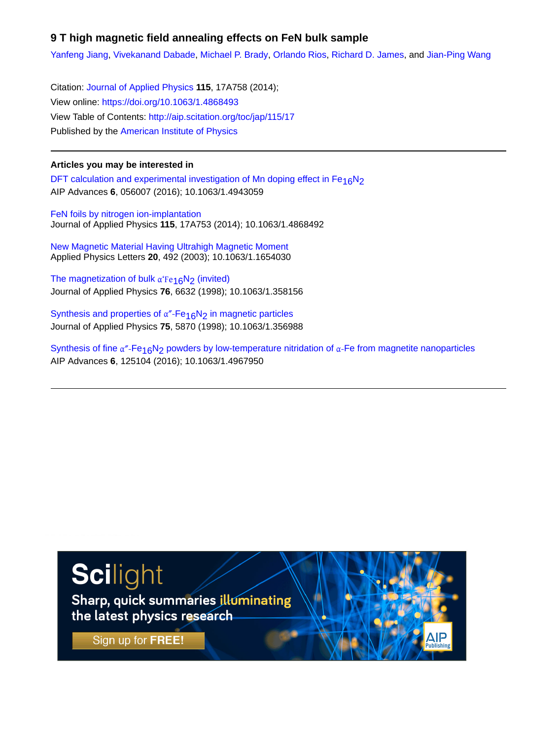# **9 T high magnetic field annealing effects on FeN bulk sample**

[Yanfeng Jiang,](http://aip.scitation.org/author/Jiang%2C+Yanfeng) [Vivekanand Dabade,](http://aip.scitation.org/author/Dabade%2C+Vivekanand) [Michael P. Brady,](http://aip.scitation.org/author/Brady%2C+Michael+P) [Orlando Rios,](http://aip.scitation.org/author/Rios%2C+Orlando) [Richard D. James,](http://aip.scitation.org/author/James%2C+Richard+D) and [Jian-Ping Wang](http://aip.scitation.org/author/Wang%2C+Jian-Ping)

Citation: [Journal of Applied Physics](/loi/jap) **115**, 17A758 (2014); View online: <https://doi.org/10.1063/1.4868493> View Table of Contents: <http://aip.scitation.org/toc/jap/115/17> Published by the [American Institute of Physics](http://aip.scitation.org/publisher/)

# **Articles you may be interested in**

DFT calculation and experimental investigation of Mn doping effect in  $Fe<sub>16</sub>N<sub>2</sub>$ AIP Advances **6**, 056007 (2016); 10.1063/1.4943059

[FeN foils by nitrogen ion-implantation](http://aip.scitation.org/doi/abs/10.1063/1.4868492) Journal of Applied Physics **115**, 17A753 (2014); 10.1063/1.4868492

[New Magnetic Material Having Ultrahigh Magnetic Moment](http://aip.scitation.org/doi/abs/10.1063/1.1654030) Applied Physics Letters **20**, 492 (2003); 10.1063/1.1654030

[The magnetization of bulk](http://aip.scitation.org/doi/abs/10.1063/1.358156)  $\alpha$ <sup>'</sup>Fe<sub>16</sub>N<sub>2</sub> (invited) Journal of Applied Physics **76**, 6632 (1998); 10.1063/1.358156

Synthesis and properties of  $\alpha$ <sup>"</sup>-Fe<sub>16</sub>N<sub>2</sub> in magnetic particles Journal of Applied Physics **75**, 5870 (1998); 10.1063/1.356988

Synthesis of fine  $\alpha''$ -Fe<sub>16</sub>N<sub>2</sub> powders by low-temperature nitridation of  $\alpha$ -Fe from magnetite nanoparticles AIP Advances **6**, 125104 (2016); 10.1063/1.4967950

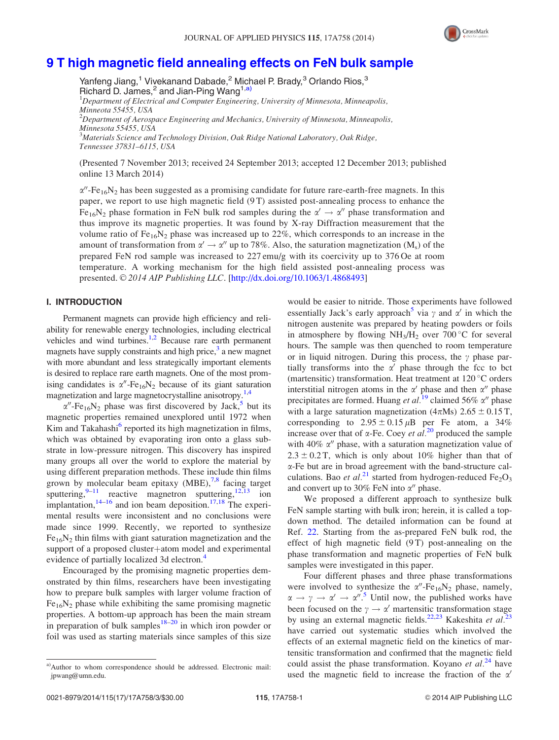

# [9 T high magnetic field annealing effects on FeN bulk sample](http://dx.doi.org/10.1063/1.4868493)

Yanfeng Jiang,<sup>1</sup> Vivekanand Dabade,<sup>2</sup> Michael P. Brady,<sup>3</sup> Orlando Rios,<sup>3</sup> Richard D. James,<sup>2</sup> and Jian-Ping Wang<sup>1,a)</sup> <sup>1</sup>Department of Electrical and Computer Engineering, University of Minnesota, Minneapolis, Minneota 55455, USA  $^{2}$ Department of Aerospace Engineering and Mechanics, University of Minnesota, Minneapolis, Minnesota 55455, USA  $^3$ Materials Science and Technology Division, Oak Ridge National Laboratory, Oak Ridge, Tennessee 37831–6115, USA

(Presented 7 November 2013; received 24 September 2013; accepted 12 December 2013; published online 13 March 2014)

 $\alpha$ <sup>*''*-Fe<sub>16</sub>N<sub>2</sub> has been suggested as a promising candidate for future rare-earth-free magnets. In this</sup> paper, we report to use high magnetic field (9 T) assisted post-annealing process to enhance the Fe<sub>16</sub>N<sub>2</sub> phase formation in FeN bulk rod samples during the  $\alpha' \rightarrow \alpha''$  phase transformation and thus improve its magnetic properties. It was found by X-ray Diffraction measurement that the volume ratio of  $Fe_{16}N_2$  phase was increased up to 22%, which corresponds to an increase in the amount of transformation from  $\alpha' \to \alpha''$  up to 78%. Also, the saturation magnetization (M<sub>s</sub>) of the prepared FeN rod sample was increased to 227 emu/g with its coercivity up to 376 Oe at room temperature. A working mechanism for the high field assisted post-annealing process was presented.  $\odot$  2014 AIP Publishing LLC. [\[http://dx.doi.org/10.1063/1.4868493](http://dx.doi.org/10.1063/1.4868493)]

## I. INTRODUCTION

Permanent magnets can provide high efficiency and reliability for renewable energy technologies, including electrical vehicles and wind turbines.<sup>[1,2](#page-3-0)</sup> Because rare earth permanent magnets have supply constraints and high price, $3$  a new magnet with more abundant and less strategically important elements is desired to replace rare earth magnets. One of the most promising candidates is  $\alpha''$ -Fe<sub>16</sub>N<sub>2</sub> because of its giant saturation magnetization and large magnetocrystalline anisotropy.<sup>[1,4](#page-3-0)</sup>

 $\alpha''$ -Fe<sub>16</sub>N<sub>2</sub> phase was first discovered by Jack,<sup>[5](#page-3-0)</sup> but its magnetic properties remained unexplored until 1972 when Kim and Takahashi<sup>[6](#page-3-0)</sup> reported its high magnetization in films, which was obtained by evaporating iron onto a glass substrate in low-pressure nitrogen. This discovery has inspired many groups all over the world to explore the material by using different preparation methods. These include thin films grown by molecular beam epitaxy  $(MBE)$ , <sup>[7,8](#page-3-0)</sup> facing target sputtering,  $9-11$  reactive magnetron sputtering,  $12,13$  ion implantation, $14-16$  and ion beam deposition. $17,18$  $17,18$  $17,18$  The experimental results were inconsistent and no conclusions were made since 1999. Recently, we reported to synthesize  $Fe<sub>16</sub>N<sub>2</sub>$  thin films with giant saturation magnetization and the support of a proposed cluster+atom model and experimental evidence of partially localized 3d electron.<sup>[4](#page-3-0)</sup>

Encouraged by the promising magnetic properties demonstrated by thin films, researchers have been investigating how to prepare bulk samples with larger volume fraction of  $Fe<sub>16</sub>N<sub>2</sub>$  phase while exhibiting the same promising magnetic properties. A bottom-up approach has been the main stream in preparation of bulk samples<sup>[18](#page-3-0)–[20](#page-3-0)</sup> in which iron powder or foil was used as starting materials since samples of this size would be easier to nitride. Those experiments have followed essentially Jack's early approach<sup>3</sup> via  $\gamma$  and  $\alpha'$  in which the nitrogen austenite was prepared by heating powders or foils in atmosphere by flowing  $NH<sub>3</sub>/H<sub>2</sub>$  over 700 °C for several hours. The sample was then quenched to room temperature or in liquid nitrogen. During this process, the  $\gamma$  phase partially transforms into the  $\alpha'$  phase through the fcc to bct (martensitic) transformation. Heat treatment at  $120^{\circ}$ C orders interstitial nitrogen atoms in the  $\alpha'$  phase and then  $\alpha''$  phase precipitates are formed. Huang et al.<sup>[19](#page-3-0)</sup> claimed 56%  $\alpha''$  phase with a large saturation magnetization ( $4\pi$ Ms)  $2.65 \pm 0.15$  T, corresponding to  $2.95 \pm 0.15 \,\mu B$  per Fe atom, a 34% increase over that of  $\alpha$ -Fe. Coey *et al.*<sup>[20](#page-3-0)</sup> produced the sample with 40%  $\alpha''$  phase, with a saturation magnetization value of  $2.3 \pm 0.2$  T, which is only about 10% higher than that of a-Fe but are in broad agreement with the band-structure calculations. Bao *et al.*<sup>[21](#page-3-0)</sup> started from hydrogen-reduced Fe<sub>2</sub>O<sub>3</sub> and convert up to 30% FeN into  $\alpha''$  phase.

We proposed a different approach to synthesize bulk FeN sample starting with bulk iron; herein, it is called a topdown method. The detailed information can be found at Ref. [22.](#page-3-0) Starting from the as-prepared FeN bulk rod, the effect of high magnetic field (9 T) post-annealing on the phase transformation and magnetic properties of FeN bulk samples were investigated in this paper.

Four different phases and three phase transformations were involved to synthesize the  $\alpha''$ -Fe<sub>16</sub>N<sub>2</sub> phase, namely,  $\alpha \rightarrow \gamma \rightarrow \alpha' \rightarrow \alpha''$ .<sup>[5](#page-3-0)</sup> Until now, the published works have been focused on the  $\gamma \rightarrow \alpha'$  martensitic transformation stage by using an external magnetic fields.<sup>[22,23](#page-3-0)</sup> Kakeshita et al.<sup>[23](#page-3-0)</sup> have carried out systematic studies which involved the effects of an external magnetic field on the kinetics of martensitic transformation and confirmed that the magnetic field could assist the phase transformation. Koyano et  $al^{24}$  $al^{24}$  $al^{24}$  have used the magnetic field to increase the fraction of the  $\alpha'$ 

a)Author to whom correspondence should be addressed. Electronic mail: [jpwang@umn.edu](mailto:jpwang@umn.edu).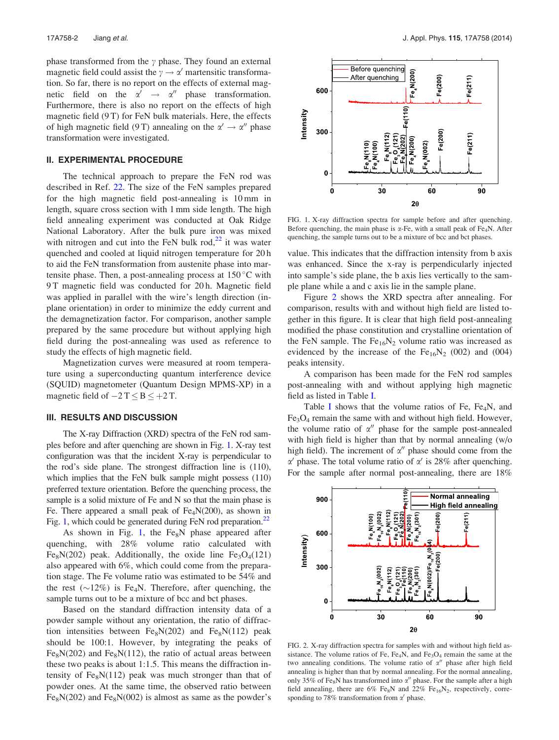<span id="page-2-0"></span>phase transformed from the  $\gamma$  phase. They found an external magnetic field could assist the  $\gamma \to \alpha'$  martensitic transformation. So far, there is no report on the effects of external magnetic field on the  $\alpha' \rightarrow \alpha''$  phase transformation. Furthermore, there is also no report on the effects of high magnetic field (9 T) for FeN bulk materials. Here, the effects of high magnetic field (9 T) annealing on the  $\alpha' \rightarrow \alpha''$  phase transformation were investigated.

#### II. EXPERIMENTAL PROCEDURE

The technical approach to prepare the FeN rod was described in Ref. [22](#page-3-0). The size of the FeN samples prepared for the high magnetic field post-annealing is 10 mm in length, square cross section with 1 mm side length. The high field annealing experiment was conducted at Oak Ridge National Laboratory. After the bulk pure iron was mixed with nitrogen and cut into the FeN bulk rod, $^{22}$  $^{22}$  $^{22}$  it was water quenched and cooled at liquid nitrogen temperature for 20 h to aid the FeN transformation from austenite phase into martensite phase. Then, a post-annealing process at  $150^{\circ}$ C with 9 T magnetic field was conducted for 20 h. Magnetic field was applied in parallel with the wire's length direction (inplane orientation) in order to minimize the eddy current and the demagnetization factor. For comparison, another sample prepared by the same procedure but without applying high field during the post-annealing was used as reference to study the effects of high magnetic field.

Magnetization curves were measured at room temperature using a superconducting quantum interference device (SQUID) magnetometer (Quantum Design MPMS-XP) in a magnetic field of  $-2$  T  $\leq$  B  $\leq$  +2 T.

## III. RESULTS AND DISCUSSION

The X-ray Diffraction (XRD) spectra of the FeN rod samples before and after quenching are shown in Fig. 1. X-ray test configuration was that the incident X-ray is perpendicular to the rod's side plane. The strongest diffraction line is (110), which implies that the FeN bulk sample might possess (110) preferred texture orientation. Before the quenching process, the sample is a solid mixture of Fe and N so that the main phase is Fe. There appeared a small peak of  $Fe<sub>4</sub>N(200)$ , as shown in Fig. 1, which could be generated during FeN rod preparation.<sup>22</sup>

As shown in Fig. 1, the  $Fe<sub>8</sub>N$  phase appeared after quenching, with 28% volume ratio calculated with Fe<sub>8</sub>N(202) peak. Additionally, the oxide line Fe<sub>3</sub>O<sub>4</sub>(121) also appeared with 6%, which could come from the preparation stage. The Fe volume ratio was estimated to be 54% and the rest  $(\sim 12\%)$  is Fe<sub>4</sub>N. Therefore, after quenching, the sample turns out to be a mixture of bcc and bct phases.

Based on the standard diffraction intensity data of a powder sample without any orientation, the ratio of diffraction intensities between  $Fe<sub>8</sub>N(202)$  and  $Fe<sub>8</sub>N(112)$  peak should be 100:1. However, by integrating the peaks of  $Fe<sub>8</sub>N(202)$  and  $Fe<sub>8</sub>N(112)$ , the ratio of actual areas between these two peaks is about 1:1.5. This means the diffraction intensity of  $Fe<sub>8</sub>N(112)$  peak was much stronger than that of powder ones. At the same time, the observed ratio between  $Fe<sub>8</sub>N(202)$  and  $Fe<sub>8</sub>N(002)$  is almost as same as the powder's



FIG. 1. X-ray diffraction spectra for sample before and after quenching. Before quenching, the main phase is  $\alpha$ -Fe, with a small peak of Fe<sub>4</sub>N. After quenching, the sample turns out to be a mixture of bcc and bct phases.

value. This indicates that the diffraction intensity from b axis was enhanced. Since the x-ray is perpendicularly injected into sample's side plane, the b axis lies vertically to the sample plane while a and c axis lie in the sample plane.

Figure 2 shows the XRD spectra after annealing. For comparison, results with and without high field are listed together in this figure. It is clear that high field post-annealing modified the phase constitution and crystalline orientation of the FeN sample. The  $Fe_{16}N_2$  volume ratio was increased as evidenced by the increase of the  $Fe_{16}N_2$  (002) and (004) peaks intensity.

A comparison has been made for the FeN rod samples post-annealing with and without applying high magnetic field as listed in Table [I.](#page-3-0)

Table [I](#page-3-0) shows that the volume ratios of Fe,  $Fe<sub>4</sub>N$ , and  $Fe<sub>3</sub>O<sub>4</sub>$  remain the same with and without high field. However, the volume ratio of  $\alpha$ <sup>"</sup> phase for the sample post-annealed with high field is higher than that by normal annealing (w/o high field). The increment of  $\alpha''$  phase should come from the  $\alpha'$  phase. The total volume ratio of  $\alpha'$  is 28% after quenching. For the sample after normal post-annealing, there are 18%



FIG. 2. X-ray diffraction spectra for samples with and without high field assistance. The volume ratios of Fe, Fe<sub>4</sub>N, and Fe<sub>3</sub>O<sub>4</sub> remain the same at the two annealing conditions. The volume ratio of  $\alpha''$  phase after high field annealing is higher than that by normal annealing. For the normal annealing, only 35% of Fe<sub>8</sub>N has transformed into  $\alpha''$  phase. For the sample after a high field annealing, there are 6% Fe<sub>8</sub>N and 22% Fe<sub>16</sub>N<sub>2</sub>, respectively, corresponding to 78% transformation from  $\alpha'$  phase.